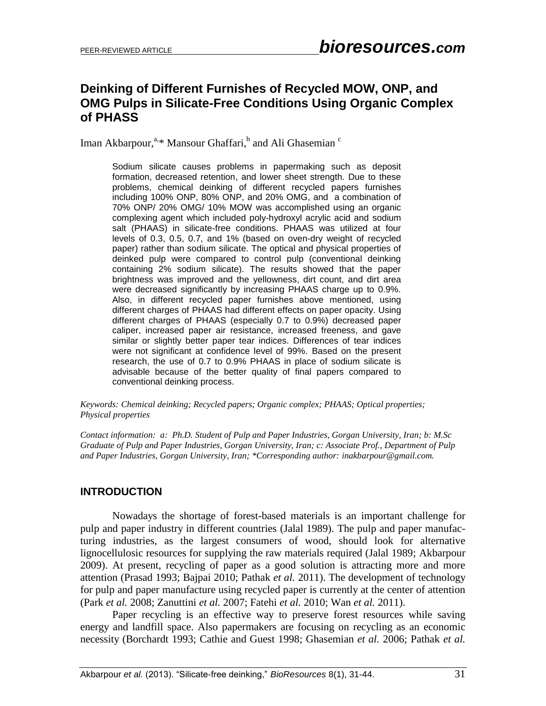# **Deinking of Different Furnishes of Recycled MOW, ONP, and OMG Pulps in Silicate-Free Conditions Using Organic Complex of PHASS**

Iman Akbarpour,<sup>a,\*</sup> Mansour Ghaffari,<sup>b</sup> and Ali Ghasemian <sup>c</sup>

Sodium silicate causes problems in papermaking such as deposit formation, decreased retention, and lower sheet strength. Due to these problems, chemical deinking of different recycled papers furnishes including 100% ONP, 80% ONP, and 20% OMG, and a combination of 70% ONP/ 20% OMG/ 10% MOW was accomplished using an organic complexing agent which included poly-hydroxyl acrylic acid and sodium salt (PHAAS) in silicate-free conditions. PHAAS was utilized at four levels of 0.3, 0.5, 0.7, and 1% (based on oven-dry weight of recycled paper) rather than sodium silicate. The optical and physical properties of deinked pulp were compared to control pulp (conventional deinking containing 2% sodium silicate). The results showed that the paper brightness was improved and the yellowness, dirt count, and dirt area were decreased significantly by increasing PHAAS charge up to 0.9%. Also, in different recycled paper furnishes above mentioned, using different charges of PHAAS had different effects on paper opacity. Using different charges of PHAAS (especially 0.7 to 0.9%) decreased paper caliper, increased paper air resistance, increased freeness, and gave similar or slightly better paper tear indices. Differences of tear indices were not significant at confidence level of 99%. Based on the present research, the use of 0.7 to 0.9% PHAAS in place of sodium silicate is advisable because of the better quality of final papers compared to conventional deinking process.

*Keywords: Chemical deinking; Recycled papers; Organic complex; PHAAS; Optical properties; Physical properties*

*Contact information: a: Ph.D. Student of Pulp and Paper Industries, Gorgan University, Iran; b: M.Sc Graduate of Pulp and Paper Industries, Gorgan University, Iran; c: Associate Prof., Department of Pulp and Paper Industries, Gorgan University, Iran; \*Corresponding author: inakbarpour@gmail.com.*

# **INTRODUCTION**

Nowadays the shortage of forest-based materials is an important challenge for pulp and paper industry in different countries (Jalal 1989). The pulp and paper manufacturing industries, as the largest consumers of wood, should look for alternative lignocellulosic resources for supplying the raw materials required (Jalal 1989; Akbarpour 2009). At present, recycling of paper as a good solution is attracting more and more attention (Prasad 1993; Bajpai 2010; Pathak *et al.* 2011). The development of technology for pulp and paper manufacture using recycled paper is currently at the center of attention (Park *et al.* 2008; Zanuttini *et al.* 2007; Fatehi *et al.* 2010; Wan *et al.* 2011).

Paper recycling is an effective way to preserve forest resources while saving energy and landfill space. Also papermakers are focusing on recycling as an economic necessity (Borchardt 1993; Cathie and Guest 1998; Ghasemian *et al.* 2006; Pathak *et al.*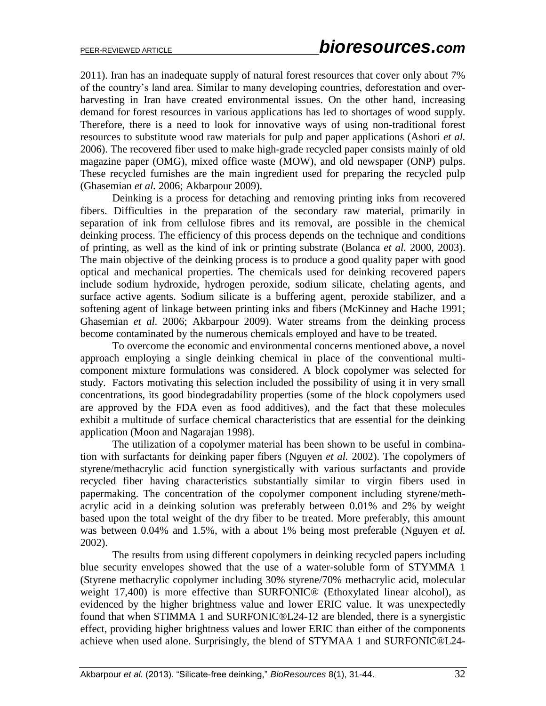2011). Iran has an inadequate supply of natural forest resources that cover only about 7% of the country's land area. Similar to many developing countries, deforestation and overharvesting in Iran have created environmental issues. On the other hand, increasing demand for forest resources in various applications has led to shortages of wood supply. Therefore, there is a need to look for innovative ways of using non-traditional forest resources to substitute wood raw materials for pulp and paper applications (Ashori *et al.* 2006). The recovered fiber used to make high-grade recycled paper consists mainly of old magazine paper (OMG), mixed office waste (MOW), and old newspaper (ONP) pulps. These recycled furnishes are the main ingredient used for preparing the recycled pulp (Ghasemian *et al.* 2006; Akbarpour 2009).

Deinking is a process for detaching and removing printing inks from recovered fibers. Difficulties in the preparation of the secondary raw material, primarily in separation of ink from cellulose fibres and its removal, are possible in the chemical deinking process. The efficiency of this process depends on the technique and conditions of printing, as well as the kind of ink or printing substrate (Bolanca *et al.* 2000, 2003). The main objective of the deinking process is to produce a good quality paper with good optical and mechanical properties. The chemicals used for deinking recovered papers include sodium hydroxide, hydrogen peroxide, sodium silicate, chelating agents, and surface active agents. Sodium silicate is a buffering agent, peroxide stabilizer, and a softening agent of linkage between printing inks and fibers (McKinney and Hache 1991; Ghasemian *et al.* 2006; Akbarpour 2009). Water streams from the deinking process become contaminated by the numerous chemicals employed and have to be treated.

To overcome the economic and environmental concerns mentioned above, a novel approach employing a single deinking chemical in place of the conventional multicomponent mixture formulations was considered. A block copolymer was selected for study. Factors motivating this selection included the possibility of using it in very small concentrations, its good biodegradability properties (some of the block copolymers used are approved by the FDA even as food additives), and the fact that these molecules exhibit a multitude of surface chemical characteristics that are essential for the deinking application (Moon and Nagarajan 1998).

The utilization of a copolymer material has been shown to be useful in combination with surfactants for deinking paper fibers (Nguyen *et al.* 2002). The copolymers of styrene/methacrylic acid function synergistically with various surfactants and provide recycled fiber having characteristics substantially similar to virgin fibers used in papermaking. The concentration of the copolymer component including styrene/methacrylic acid in a deinking solution was preferably between 0.01% and 2% by weight based upon the total weight of the dry fiber to be treated. More preferably, this amount was between 0.04% and 1.5%, with a about 1% being most preferable (Nguyen *et al.* 2002).

The results from using different copolymers in deinking recycled papers including blue security envelopes showed that the use of a water-soluble form of STYMMA 1 (Styrene methacrylic copolymer including 30% styrene/70% methacrylic acid, molecular weight 17,400) is more effective than SURFONIC® (Ethoxylated linear alcohol), as evidenced by the higher brightness value and lower ERIC value. It was unexpectedly found that when STIMMA 1 and SURFONIC®L24-12 are blended, there is a synergistic effect, providing higher brightness values and lower ERIC than either of the components achieve when used alone. Surprisingly, the blend of STYMAA 1 and SURFONIC®L24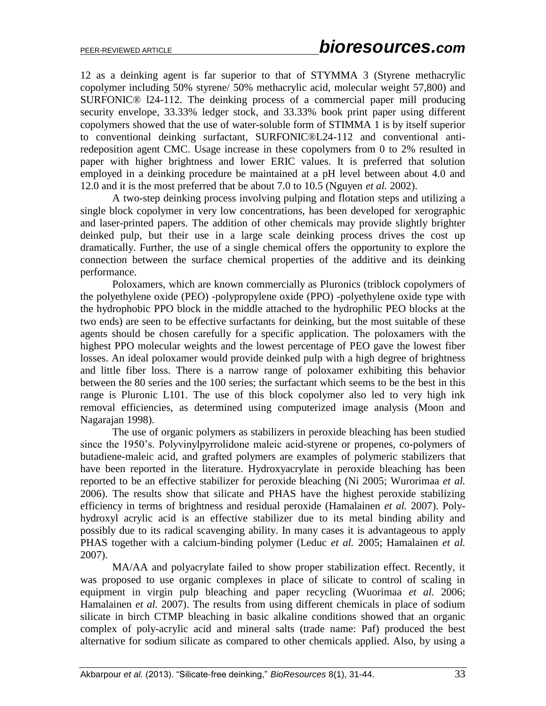12 as a deinking agent is far superior to that of STYMMA 3 (Styrene methacrylic copolymer including 50% styrene/ 50% methacrylic acid, molecular weight 57,800) and SURFONIC® l24-112. The deinking process of a commercial paper mill producing security envelope, 33.33% ledger stock, and 33.33% book print paper using different copolymers showed that the use of water-soluble form of STIMMA 1 is by itself superior to conventional deinking surfactant, SURFONIC®L24-112 and conventional antiredeposition agent CMC. Usage increase in these copolymers from 0 to 2% resulted in paper with higher brightness and lower ERIC values. It is preferred that solution employed in a deinking procedure be maintained at a pH level between about 4.0 and 12.0 and it is the most preferred that be about 7.0 to 10.5 (Nguyen *et al.* 2002).

A two-step deinking process involving pulping and flotation steps and utilizing a single block copolymer in very low concentrations, has been developed for xerographic and laser-printed papers. The addition of other chemicals may provide slightly brighter deinked pulp, but their use in a large scale deinking process drives the cost up dramatically. Further, the use of a single chemical offers the opportunity to explore the connection between the surface chemical properties of the additive and its deinking performance.

Poloxamers, which are known commercially as Pluronics (triblock copolymers of the polyethylene oxide (PEO) -polypropylene oxide (PPO) -polyethylene oxide type with the hydrophobic PPO block in the middle attached to the hydrophilic PEO blocks at the two ends) are seen to be effective surfactants for deinking, but the most suitable of these agents should be chosen carefully for a specific application. The poloxamers with the highest PPO molecular weights and the lowest percentage of PEO gave the lowest fiber losses. An ideal poloxamer would provide deinked pulp with a high degree of brightness and little fiber loss. There is a narrow range of poloxamer exhibiting this behavior between the 80 series and the 100 series; the surfactant which seems to be the best in this range is Pluronic L101. The use of this block copolymer also led to very high ink removal efficiencies, as determined using computerized image analysis (Moon and Nagarajan 1998).

The use of organic polymers as stabilizers in peroxide bleaching has been studied since the 1950's. Polyvinylpyrrolidone maleic acid-styrene or propenes, co-polymers of butadiene-maleic acid, and grafted polymers are examples of polymeric stabilizers that have been reported in the literature. Hydroxyacrylate in peroxide bleaching has been reported to be an effective stabilizer for peroxide bleaching (Ni 2005; Wurorimaa *et al.* 2006). The results show that silicate and PHAS have the highest peroxide stabilizing efficiency in terms of brightness and residual peroxide (Hamalainen *et al.* 2007). Polyhydroxyl acrylic acid is an effective stabilizer due to its metal binding ability and possibly due to its radical scavenging ability. In many cases it is advantageous to apply PHAS together with a calcium-binding polymer (Leduc *et al.* 2005; Hamalainen *et al.* 2007).

MA/AA and polyacrylate failed to show proper stabilization effect. Recently, it was proposed to use organic complexes in place of silicate to control of scaling in equipment in virgin pulp bleaching and paper recycling (Wuorimaa *et al.* 2006; Hamalainen *et al.* 2007). The results from using different chemicals in place of sodium silicate in birch CTMP bleaching in basic alkaline conditions showed that an organic complex of poly-acrylic acid and mineral salts (trade name: Paf) produced the best alternative for sodium silicate as compared to other chemicals applied. Also, by using a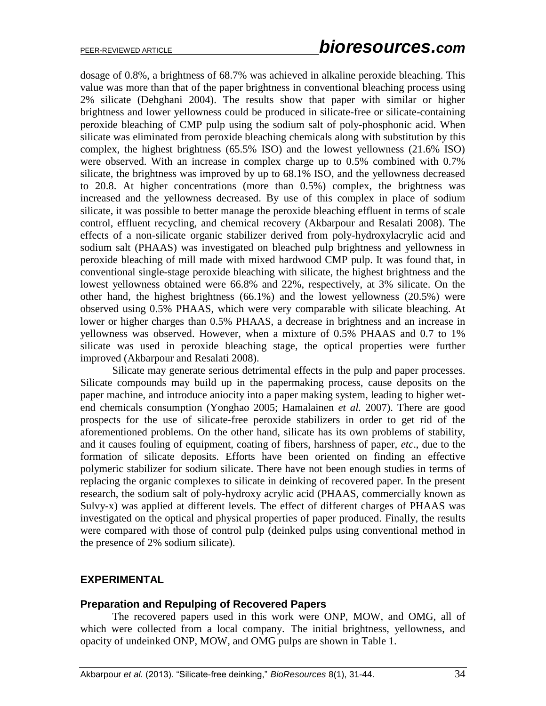dosage of 0.8%, a brightness of 68.7% was achieved in alkaline peroxide bleaching. This value was more than that of the paper brightness in conventional bleaching process using 2% silicate (Dehghani 2004). The results show that paper with similar or higher brightness and lower yellowness could be produced in silicate-free or silicate-containing peroxide bleaching of CMP pulp using the sodium salt of poly-phosphonic acid. When silicate was eliminated from peroxide bleaching chemicals along with substitution by this complex, the highest brightness (65.5% ISO) and the lowest yellowness (21.6% ISO) were observed. With an increase in complex charge up to 0.5% combined with 0.7% silicate, the brightness was improved by up to 68.1% ISO, and the yellowness decreased to 20.8. At higher concentrations (more than 0.5%) complex, the brightness was increased and the yellowness decreased. By use of this complex in place of sodium silicate, it was possible to better manage the peroxide bleaching effluent in terms of scale control, effluent recycling, and chemical recovery (Akbarpour and Resalati 2008). The effects of a non-silicate organic stabilizer derived from poly-hydroxylacrylic acid and sodium salt (PHAAS) was investigated on bleached pulp brightness and yellowness in peroxide bleaching of mill made with mixed hardwood CMP pulp. It was found that, in conventional single-stage peroxide bleaching with silicate, the highest brightness and the lowest yellowness obtained were 66.8% and 22%, respectively, at 3% silicate. On the other hand, the highest brightness (66.1%) and the lowest yellowness (20.5%) were observed using 0.5% PHAAS, which were very comparable with silicate bleaching. At lower or higher charges than 0.5% PHAAS, a decrease in brightness and an increase in yellowness was observed. However, when a mixture of 0.5% PHAAS and 0.7 to 1% silicate was used in peroxide bleaching stage, the optical properties were further improved (Akbarpour and Resalati 2008).

Silicate may generate serious detrimental effects in the pulp and paper processes. Silicate compounds may build up in the papermaking process, cause deposits on the paper machine, and introduce aniocity into a paper making system, leading to higher wetend chemicals consumption (Yonghao 2005; Hamalainen *et al.* 2007). There are good prospects for the use of silicate-free peroxide stabilizers in order to get rid of the aforementioned problems. On the other hand, silicate has its own problems of stability, and it causes fouling of equipment, coating of fibers, harshness of paper, *etc*., due to the formation of silicate deposits. Efforts have been oriented on finding an effective polymeric stabilizer for sodium silicate. There have not been enough studies in terms of replacing the organic complexes to silicate in deinking of recovered paper. In the present research, the sodium salt of poly-hydroxy acrylic acid (PHAAS, commercially known as Sulvy-x) was applied at different levels. The effect of different charges of PHAAS was investigated on the optical and physical properties of paper produced. Finally, the results were compared with those of control pulp (deinked pulps using conventional method in the presence of 2% sodium silicate).

# **EXPERIMENTAL**

#### **Preparation and Repulping of Recovered Papers**

The recovered papers used in this work were ONP, MOW, and OMG, all of which were collected from a local company. The initial brightness, yellowness, and opacity of undeinked ONP, MOW, and OMG pulps are shown in Table 1.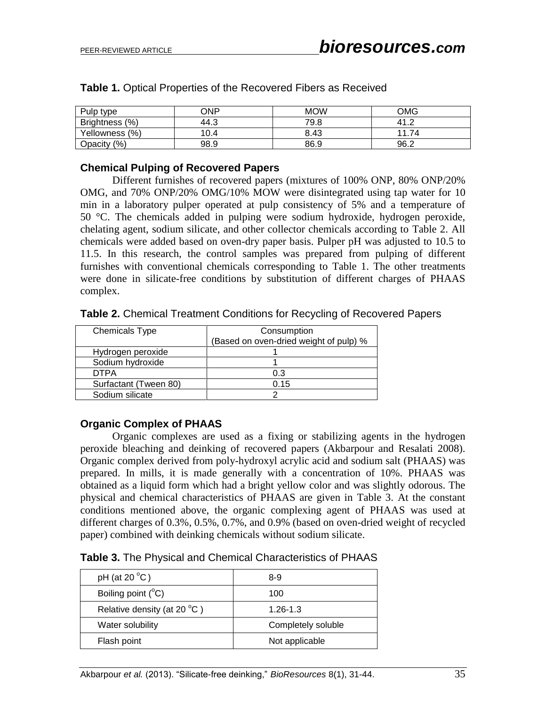| Pulp type                 | ONP  | <b>MOW</b> | OMG          |
|---------------------------|------|------------|--------------|
| <b>Brightness</b><br>(% ) | 44.3 | 79.8       | 41<br>c<br>. |
| Yellowness (%)            | 10.4 | 8.43       | 11<br>74     |
| (% )<br><b>Opacity</b>    | 98.9 | 86.9       | 96.2         |

**Table 1.** Optical Properties of the Recovered Fibers as Received

### **Chemical Pulping of Recovered Papers**

Different furnishes of recovered papers (mixtures of 100% ONP, 80% ONP/20% OMG, and 70% ONP/20% OMG/10% MOW were disintegrated using tap water for 10 min in a laboratory pulper operated at pulp consistency of 5% and a temperature of 50 °C. The chemicals added in pulping were sodium hydroxide, hydrogen peroxide, chelating agent, sodium silicate, and other collector chemicals according to Table 2. All chemicals were added based on oven-dry paper basis. Pulper pH was adjusted to 10.5 to 11.5. In this research, the control samples was prepared from pulping of different furnishes with conventional chemicals corresponding to Table 1. The other treatments were done in silicate-free conditions by substitution of different charges of PHAAS complex.

| <b>Chemicals Type</b> | Consumption                            |
|-----------------------|----------------------------------------|
|                       | (Based on oven-dried weight of pulp) % |
| Hydrogen peroxide     |                                        |
| Sodium hydroxide      |                                        |
| <b>DTPA</b>           | 0.3                                    |
| Surfactant (Tween 80) | 0.15                                   |
| Sodium silicate       |                                        |

**Table 2.** Chemical Treatment Conditions for Recycling of Recovered Papers

# **Organic Complex of PHAAS**

Organic complexes are used as a fixing or stabilizing agents in the hydrogen peroxide bleaching and deinking of recovered papers (Akbarpour and Resalati 2008). Organic complex derived from poly-hydroxyl acrylic acid and sodium salt (PHAAS) was prepared. In mills, it is made generally with a concentration of 10%. PHAAS was obtained as a liquid form which had a bright yellow color and was slightly odorous. The physical and chemical characteristics of PHAAS are given in Table 3. At the constant conditions mentioned above, the organic complexing agent of PHAAS was used at different charges of 0.3%, 0.5%, 0.7%, and 0.9% (based on oven-dried weight of recycled paper) combined with deinking chemicals without sodium silicate.

**Table 3.** The Physical and Chemical Characteristics of PHAAS

| $pH$ (at 20 $^{\circ}C$ )             | 8-9                |  |
|---------------------------------------|--------------------|--|
| Boiling point $(^{\circ}C)$           | 100                |  |
| Relative density (at 20 $^{\circ}$ C) | $1.26 - 1.3$       |  |
| Water solubility                      | Completely soluble |  |
| Flash point                           | Not applicable     |  |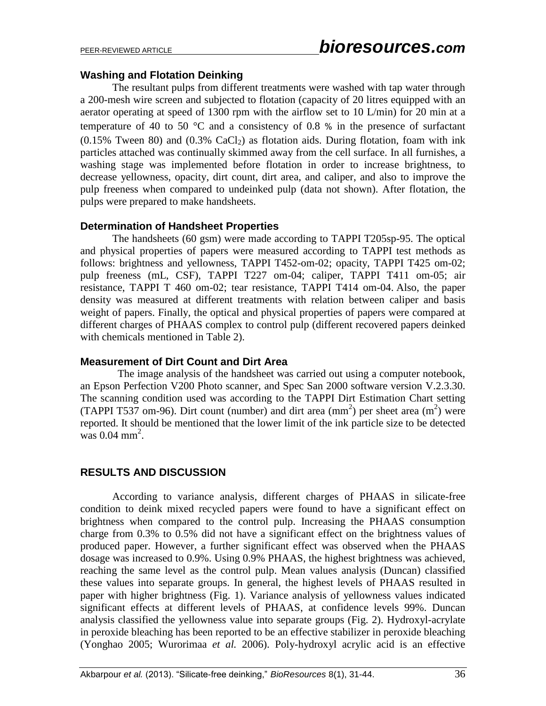# **Washing and Flotation Deinking**

 The resultant pulps from different treatments were washed with tap water through a 200-mesh wire screen and subjected to flotation (capacity of 20 litres equipped with an aerator operating at speed of 1300 rpm with the airflow set to 10 L/min) for 20 min at a temperature of 40 to 50  $^{\circ}$ C and a consistency of 0.8 % in the presence of surfactant  $(0.15\%$  Tween 80) and  $(0.3\%$  CaCl<sub>2</sub>) as flotation aids. During flotation, foam with ink particles attached was continually skimmed away from the cell surface. In all furnishes, a washing stage was implemented before flotation in order to increase brightness, to decrease yellowness, opacity, dirt count, dirt area, and caliper, and also to improve the pulp freeness when compared to undeinked pulp (data not shown). After flotation, the pulps were prepared to make handsheets.

#### **Determination of Handsheet Properties**

The handsheets (60 gsm) were made according to TAPPI T205sp-95. The optical and physical properties of papers were measured according to TAPPI test methods as follows: brightness and yellowness, TAPPI T452-om-02; opacity, TAPPI T425 om-02; pulp freeness (mL, CSF), TAPPI T227 om-04; caliper, TAPPI T411 om-05; air resistance, TAPPI T 460 om-02; tear resistance, TAPPI T414 om-04. Also, the paper density was measured at different treatments with relation between caliper and basis weight of papers. Finally, the optical and physical properties of papers were compared at different charges of PHAAS complex to control pulp (different recovered papers deinked with chemicals mentioned in Table 2).

#### **Measurement of Dirt Count and Dirt Area**

 The image analysis of the handsheet was carried out using a computer notebook, an Epson Perfection V200 Photo scanner, and Spec San 2000 software version V.2.3.30. The scanning condition used was according to the TAPPI Dirt Estimation Chart setting (TAPPI T537 om-96). Dirt count (number) and dirt area  $(mm<sup>2</sup>)$  per sheet area  $(m<sup>2</sup>)$  were reported. It should be mentioned that the lower limit of the ink particle size to be detected was  $0.04 \text{ mm}^2$ .

# **RESULTS AND DISCUSSION**

According to variance analysis, different charges of PHAAS in silicate-free condition to deink mixed recycled papers were found to have a significant effect on brightness when compared to the control pulp. Increasing the PHAAS consumption charge from 0.3% to 0.5% did not have a significant effect on the brightness values of produced paper. However, a further significant effect was observed when the PHAAS dosage was increased to 0.9%. Using 0.9% PHAAS, the highest brightness was achieved, reaching the same level as the control pulp. Mean values analysis (Duncan) classified these values into separate groups. In general, the highest levels of PHAAS resulted in paper with higher brightness (Fig. 1). Variance analysis of yellowness values indicated significant effects at different levels of PHAAS, at confidence levels 99%. Duncan analysis classified the yellowness value into separate groups (Fig. 2). Hydroxyl-acrylate in peroxide bleaching has been reported to be an effective stabilizer in peroxide bleaching (Yonghao 2005; Wurorimaa *et al.* 2006). Poly-hydroxyl acrylic acid is an effective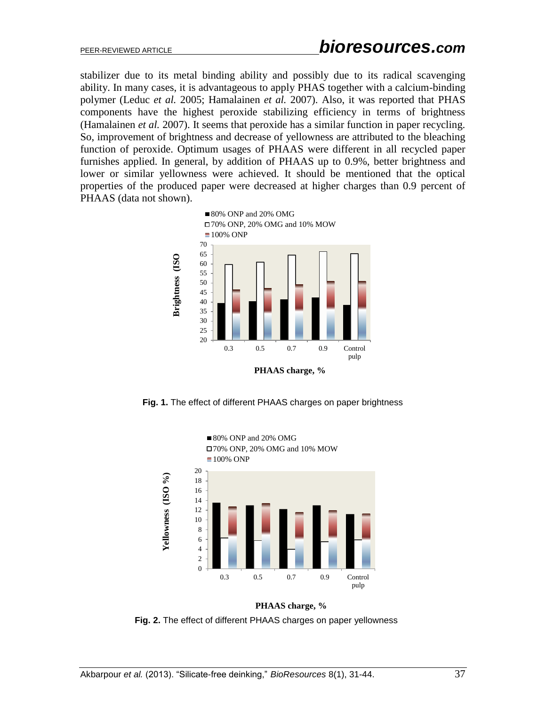stabilizer due to its metal binding ability and possibly due to its radical scavenging ability. In many cases, it is advantageous to apply PHAS together with a calcium-binding polymer (Leduc *et al.* 2005; Hamalainen *et al.* 2007). Also, it was reported that PHAS components have the highest peroxide stabilizing efficiency in terms of brightness (Hamalainen *et al.* 2007). It seems that peroxide has a similar function in paper recycling. So, improvement of brightness and decrease of yellowness are attributed to the bleaching function of peroxide. Optimum usages of PHAAS were different in all recycled paper furnishes applied. In general, by addition of PHAAS up to 0.9%, better brightness and lower or similar yellowness were achieved. It should be mentioned that the optical properties of the produced paper were decreased at higher charges than 0.9 percent of PHAAS (data not shown).



**Fig. 1.** The effect of different PHAAS charges on paper brightness



**PHAAS charge, % Fig. 2.** The effect of different PHAAS charges on paper yellowness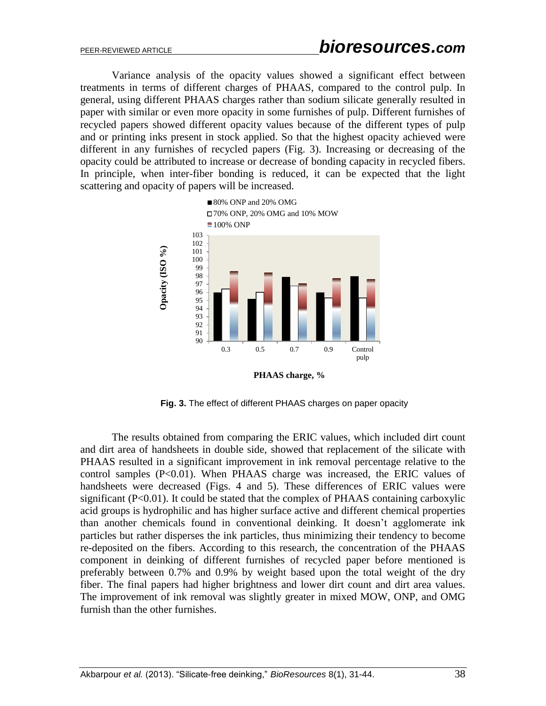Variance analysis of the opacity values showed a significant effect between treatments in terms of different charges of PHAAS, compared to the control pulp. In general, using different PHAAS charges rather than sodium silicate generally resulted in paper with similar or even more opacity in some furnishes of pulp. Different furnishes of recycled papers showed different opacity values because of the different types of pulp and or printing inks present in stock applied. So that the highest opacity achieved were different in any furnishes of recycled papers (Fig. 3). Increasing or decreasing of the opacity could be attributed to increase or decrease of bonding capacity in recycled fibers. In principle, when inter-fiber bonding is reduced, it can be expected that the light scattering and opacity of papers will be increased.



 **Fig. 3.** The effect of different PHAAS charges on paper opacity

The results obtained from comparing the ERIC values, which included dirt count and dirt area of handsheets in double side, showed that replacement of the silicate with PHAAS resulted in a significant improvement in ink removal percentage relative to the control samples (P<0.01). When PHAAS charge was increased, the ERIC values of handsheets were decreased (Figs. 4 and 5). These differences of ERIC values were significant  $(P<0.01)$ . It could be stated that the complex of PHAAS containing carboxylic acid groups is hydrophilic and has higher surface active and different chemical properties than another chemicals found in conventional deinking. It doesn't agglomerate ink particles but rather disperses the ink particles, thus minimizing their tendency to become re-deposited on the fibers. According to this research, the concentration of the PHAAS component in deinking of different furnishes of recycled paper before mentioned is preferably between 0.7% and 0.9% by weight based upon the total weight of the dry fiber. The final papers had higher brightness and lower dirt count and dirt area values. The improvement of ink removal was slightly greater in mixed MOW, ONP, and OMG furnish than the other furnishes.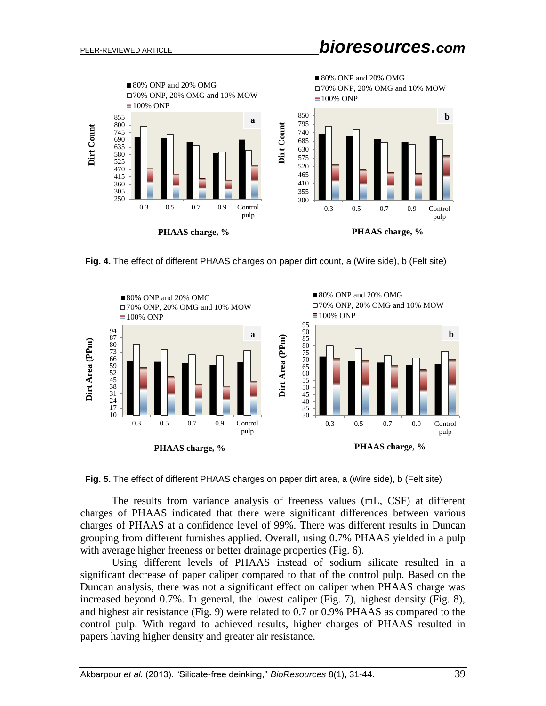

**Fig. 4.** The effect of different PHAAS charges on paper dirt count, a (Wire side), b (Felt site)





The results from variance analysis of freeness values (mL, CSF) at different charges of PHAAS indicated that there were significant differences between various charges of PHAAS at a confidence level of 99%. There was different results in Duncan grouping from different furnishes applied. Overall, using 0.7% PHAAS yielded in a pulp with average higher freeness or better drainage properties (Fig. 6).

Using different levels of PHAAS instead of sodium silicate resulted in a significant decrease of paper caliper compared to that of the control pulp. Based on the Duncan analysis, there was not a significant effect on caliper when PHAAS charge was increased beyond 0.7%. In general, the lowest caliper (Fig. 7), highest density (Fig. 8), and highest air resistance (Fig. 9) were related to 0.7 or 0.9% PHAAS as compared to the control pulp. With regard to achieved results, higher charges of PHAAS resulted in papers having higher density and greater air resistance.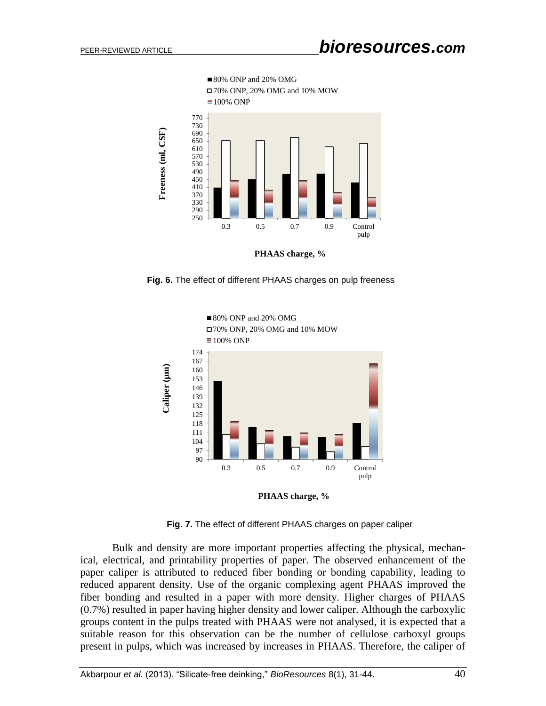

 **Fig. 6.** The effect of different PHAAS charges on pulp freeness



 **Fig. 7.** The effect of different PHAAS charges on paper caliper

Bulk and density are more important properties affecting the physical, mechanical, electrical, and printability properties of paper. The observed enhancement of the paper caliper is attributed to reduced fiber bonding or bonding capability, leading to reduced apparent density. Use of the organic complexing agent PHAAS improved the fiber bonding and resulted in a paper with more density. Higher charges of PHAAS (0.7%) resulted in paper having higher density and lower caliper. Although the carboxylic groups content in the pulps treated with PHAAS were not analysed, it is expected that a suitable reason for this observation can be the number of cellulose carboxyl groups present in pulps, which was increased by increases in PHAAS. Therefore, the caliper of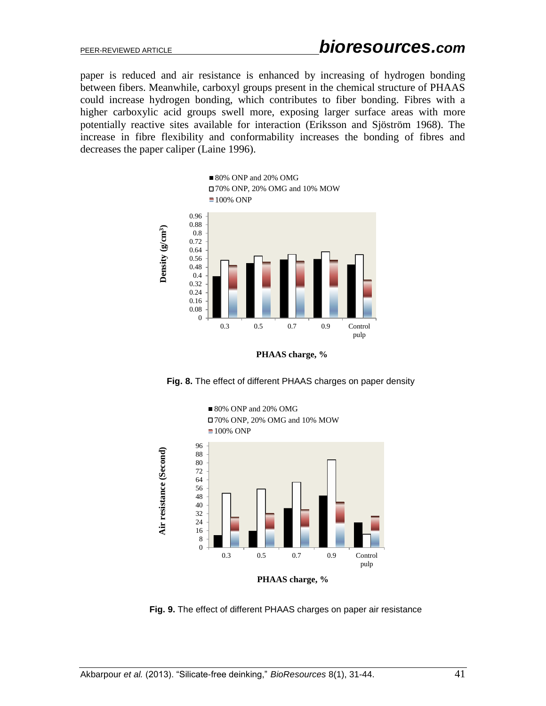paper is reduced and air resistance is enhanced by increasing of hydrogen bonding between fibers. Meanwhile, carboxyl groups present in the chemical structure of PHAAS could increase hydrogen bonding, which contributes to fiber bonding. Fibres with a higher carboxylic acid groups swell more, exposing larger surface areas with more potentially reactive sites available for interaction (Eriksson and Sjöström 1968). The increase in fibre flexibility and conformability increases the bonding of fibres and decreases the paper caliper (Laine 1996).



**PHAAS charge, %**

 **Fig. 8.** The effect of different PHAAS charges on paper density





**PHAAS charge, %**

 **Fig. 9.** The effect of different PHAAS charges on paper air resistance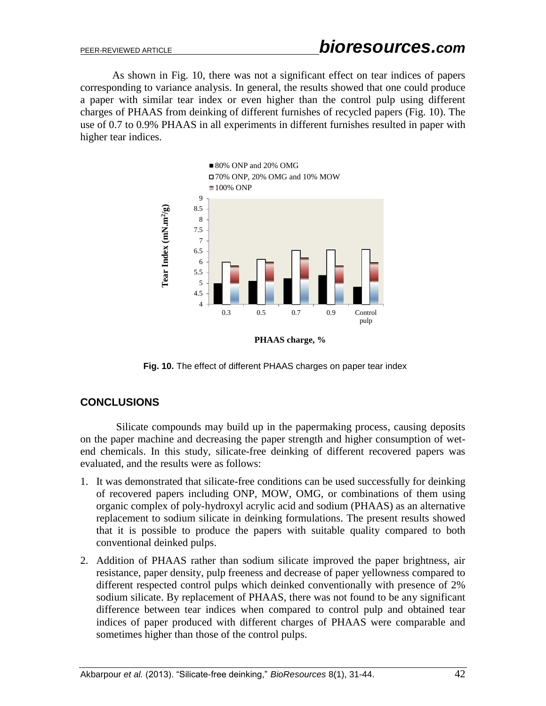As shown in Fig. 10, there was not a significant effect on tear indices of papers corresponding to variance analysis. In general, the results showed that one could produce a paper with similar tear index or even higher than the control pulp using different charges of PHAAS from deinking of different furnishes of recycled papers (Fig. 10). The use of 0.7 to 0.9% PHAAS in all experiments in different furnishes resulted in paper with higher tear indices.



 **Fig. 10.** The effect of different PHAAS charges on paper tear index

# **CONCLUSIONS**

 Silicate compounds may build up in the papermaking process, causing deposits on the paper machine and decreasing the paper strength and higher consumption of wetend chemicals. In this study, silicate-free deinking of different recovered papers was evaluated, and the results were as follows:

- 1. It was demonstrated that silicate-free conditions can be used successfully for deinking of recovered papers including ONP, MOW, OMG, or combinations of them using organic complex of poly-hydroxyl acrylic acid and sodium (PHAAS) as an alternative replacement to sodium silicate in deinking formulations. The present results showed that it is possible to produce the papers with suitable quality compared to both conventional deinked pulps.
- 2. Addition of PHAAS rather than sodium silicate improved the paper brightness, air resistance, paper density, pulp freeness and decrease of paper yellowness compared to different respected control pulps which deinked conventionally with presence of 2% sodium silicate. By replacement of PHAAS, there was not found to be any significant difference between tear indices when compared to control pulp and obtained tear indices of paper produced with different charges of PHAAS were comparable and sometimes higher than those of the control pulps.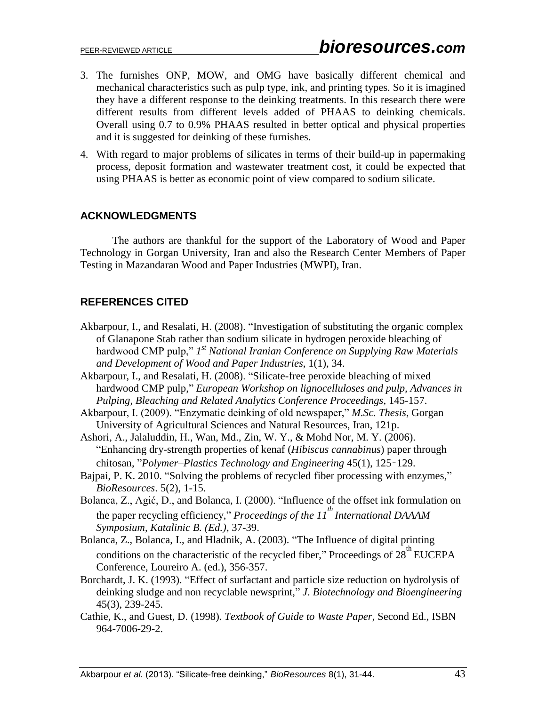- 3. The furnishes ONP, MOW, and OMG have basically different chemical and mechanical characteristics such as pulp type, ink, and printing types. So it is imagined they have a different response to the deinking treatments. In this research there were different results from different levels added of PHAAS to deinking chemicals. Overall using 0.7 to 0.9% PHAAS resulted in better optical and physical properties and it is suggested for deinking of these furnishes.
- 4. With regard to major problems of silicates in terms of their build-up in papermaking process, deposit formation and wastewater treatment cost, it could be expected that using PHAAS is better as economic point of view compared to sodium silicate.

# **ACKNOWLEDGMENTS**

The authors are thankful for the support of the Laboratory of Wood and Paper Technology in Gorgan University, Iran and also the Research Center Members of Paper Testing in Mazandaran Wood and Paper Industries (MWPI), Iran.

# **REFERENCES CITED**

- Akbarpour, I., and Resalati, H. (2008). "Investigation of substituting the organic complex of Glanapone Stab rather than sodium silicate in hydrogen peroxide bleaching of hardwood CMP pulp," I<sup>st</sup> National Iranian Conference on Supplying Raw Materials *and Development of Wood and Paper Industries*, 1(1), 34.
- Akbarpour, I., and Resalati, H. (2008). "Silicate-free peroxide bleaching of mixed hardwood CMP pulp," *European Workshop on lignocelluloses and pulp, Advances in Pulping, Bleaching and Related Analytics Conference Proceedings*, 145-157.
- Akbarpour, I. (2009). "Enzymatic deinking of old newspaper," *M.Sc. Thesis*, Gorgan University of Agricultural Sciences and Natural Resources, Iran, 121p.

Ashori, A., Jalaluddin, H., Wan, Md., Zin, W. Y., & Mohd Nor, M. Y. (2006). "Enhancing dry-strength properties of kenaf (*Hibiscus cannabinus*) paper through chitosan, "*Polymer–Plastics Technology and Engineering* 45(1), 125–129.

- Bajpai, P. K. 2010. "Solving the problems of recycled fiber processing with enzymes," *BioResources*. 5(2), 1-15.
- Bolanca, Z., Agić, D., and Bolanca, I. (2000). "Influence of the offset ink formulation on the paper recycling efficiency," *Proceedings of the 11<sup>th</sup> International DAAAM Symposium, Katalinic B. (Ed.)*, 37-39.
- Bolanca, Z., Bolanca, I., and Hladnik, A. (2003). "The Influence of digital printing conditions on the characteristic of the recycled fiber," Proceedings of  $28^{\text{th}}$  EUCEPA Conference, Loureiro A. (ed.), 356-357.
- Borchardt, J. K. (1993). "Effect of surfactant and particle size reduction on hydrolysis of deinking sludge and non recyclable newsprint," *J*. *Biotechnology and Bioengineering* 45(3), 239-245.
- Cathie, K., and Guest, D. (1998). *Textbook of Guide to Waste Paper*, Second Ed., ISBN 964-7006-29-2.